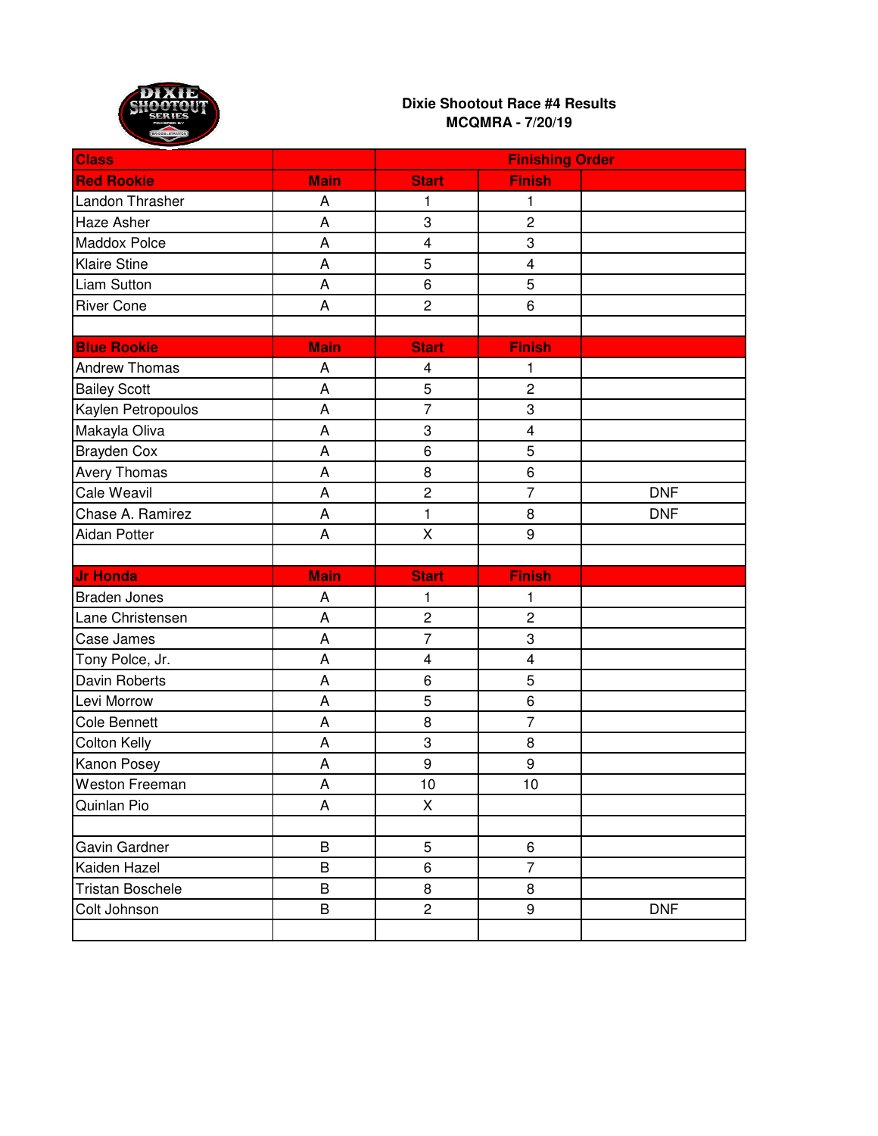

| <b>Class</b>            |             | <b>Finishing Order</b>  |                         |            |
|-------------------------|-------------|-------------------------|-------------------------|------------|
| <b>Red Rookie</b>       | <b>Main</b> | <b>Start</b>            | <b>Finish</b>           |            |
| Landon Thrasher         | A           | 1                       | 1                       |            |
| Haze Asher              | A           | 3                       | $\overline{c}$          |            |
| Maddox Polce            | A           | $\overline{\mathbf{4}}$ | 3                       |            |
| Klaire Stine            | A           | 5                       | $\overline{\mathbf{4}}$ |            |
| <b>Liam Sutton</b>      | A           | 6                       | 5                       |            |
| <b>River Cone</b>       | A           | $\overline{c}$          | 6                       |            |
|                         |             |                         |                         |            |
| <b>Blue Rookie</b>      | <b>Main</b> | <b>Start</b>            | <b>Finish</b>           |            |
| <b>Andrew Thomas</b>    | A           | $\overline{\mathbf{4}}$ | 1                       |            |
| <b>Bailey Scott</b>     | A           | 5                       | $\overline{c}$          |            |
| Kaylen Petropoulos      | A           | $\overline{7}$          | 3                       |            |
| Makayla Oliva           | A           | 3                       | $\overline{\mathbf{4}}$ |            |
| Brayden Cox             | A           | 6                       | 5                       |            |
| Avery Thomas            | A           | 8                       | 6                       |            |
| Cale Weavil             | A           | $\overline{c}$          | $\overline{7}$          | <b>DNF</b> |
| Chase A. Ramirez        | A           | $\mathbf{1}$            | 8                       | <b>DNF</b> |
| Aidan Potter            | A           | Χ                       | 9                       |            |
|                         |             |                         |                         |            |
| <b>Jr Honda</b>         | <b>Main</b> | <b>Start</b>            | <b>Finish</b>           |            |
| <b>Braden Jones</b>     | A           | 1                       | 1                       |            |
| Lane Christensen        | A           | $\overline{c}$          | $\overline{c}$          |            |
| Case James              | A           | $\overline{7}$          | 3                       |            |
| Tony Polce, Jr.         | A           | $\overline{\mathbf{4}}$ | $\overline{\mathbf{4}}$ |            |
| Davin Roberts           | A           | $\,6$                   | 5                       |            |
| Levi Morrow             | A           | 5                       | 6                       |            |
| Cole Bennett            | A           | 8                       | $\overline{7}$          |            |
| <b>Colton Kelly</b>     | A           | 3                       | 8                       |            |
| Kanon Posey             | A           | 9                       | 9                       |            |
| Weston Freeman          | A           | 10                      | 10                      |            |
| Quinlan Pio             | А           | X                       |                         |            |
|                         |             |                         |                         |            |
| Gavin Gardner           | B           | 5                       | 6                       |            |
| Kaiden Hazel            | B           | 6                       | $\overline{7}$          |            |
| <b>Tristan Boschele</b> | B           | 8                       | 8                       |            |
| Colt Johnson            | B           | $\overline{2}$          | 9                       | <b>DNF</b> |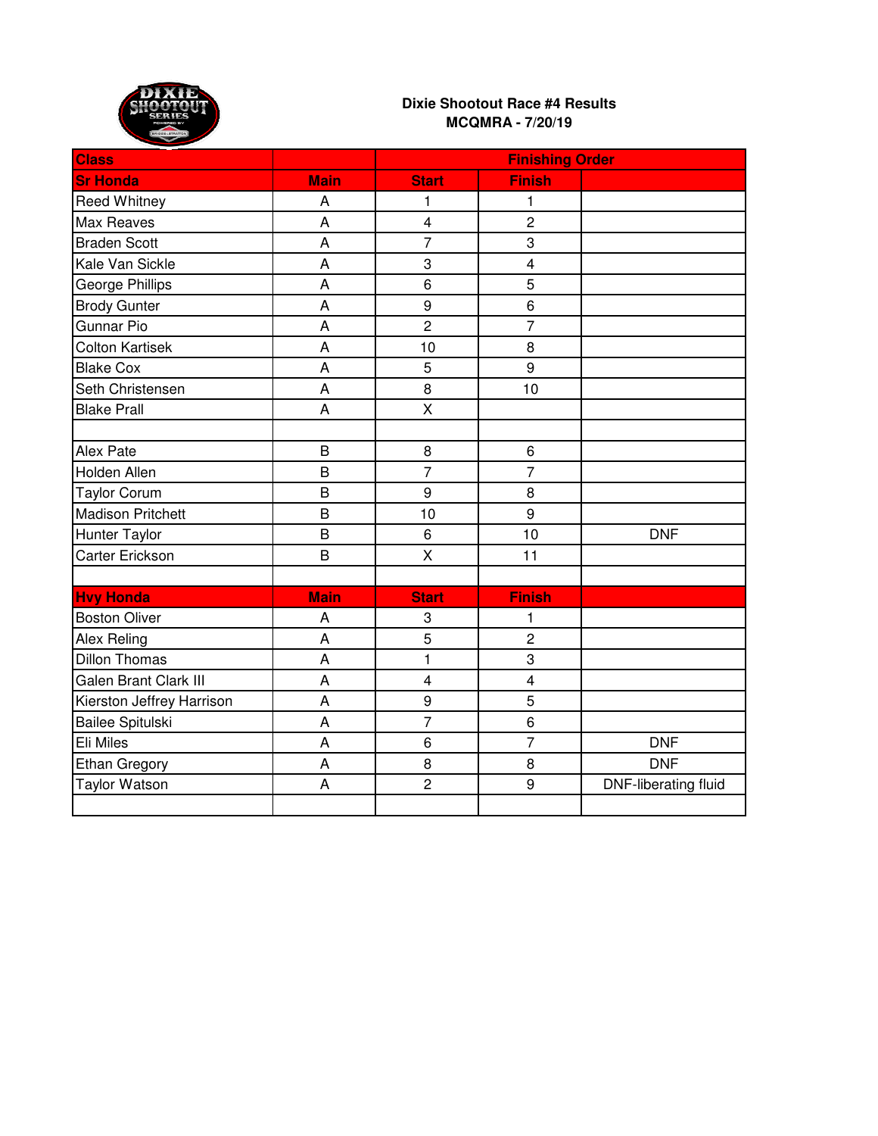

| <b>Class</b>              |                | <b>Finishing Order</b>  |                         |                             |
|---------------------------|----------------|-------------------------|-------------------------|-----------------------------|
| <b>Sr Honda</b>           | <b>Main</b>    | <b>Start</b>            | <b>Finish</b>           |                             |
| Reed Whitney              | A              | 1                       | 1                       |                             |
| <b>Max Reaves</b>         | A              | $\overline{\mathbf{4}}$ | $\overline{c}$          |                             |
| <b>Braden Scott</b>       | A              | $\overline{7}$          | 3                       |                             |
| Kale Van Sickle           | A              | 3                       | $\overline{\mathbf{4}}$ |                             |
| George Phillips           | A              | 6                       | 5                       |                             |
| <b>Brody Gunter</b>       | A              | 9                       | 6                       |                             |
| <b>Gunnar Pio</b>         | A              | $\overline{c}$          | $\overline{7}$          |                             |
| <b>Colton Kartisek</b>    | A              | 10                      | 8                       |                             |
| <b>Blake Cox</b>          | A              | 5                       | $\overline{9}$          |                             |
| Seth Christensen          | A              | 8                       | 10                      |                             |
| <b>Blake Prall</b>        | A              | $\overline{X}$          |                         |                             |
|                           |                |                         |                         |                             |
| Alex Pate                 | B              | 8                       | 6                       |                             |
| Holden Allen              | B              | $\overline{7}$          | $\overline{7}$          |                             |
| <b>Taylor Corum</b>       | B              | 9                       | 8                       |                             |
| <b>Madison Pritchett</b>  | B              | 10                      | 9                       |                             |
| <b>Hunter Taylor</b>      | $\overline{B}$ | $6\phantom{1}6$         | 10                      | <b>DNF</b>                  |
| Carter Erickson           | B              | $\sf X$                 | 11                      |                             |
|                           |                |                         |                         |                             |
| <b>Hvy Honda</b>          | <b>Main</b>    | <b>Start</b>            | <b>Finish</b>           |                             |
| <b>Boston Oliver</b>      | Α              | 3                       | 1                       |                             |
| Alex Reling               | A              | 5                       | $\overline{c}$          |                             |
| <b>Dillon Thomas</b>      | A              | $\mathbf{1}$            | 3                       |                             |
| Galen Brant Clark III     | A              | $\overline{4}$          | $\overline{\mathbf{4}}$ |                             |
| Kierston Jeffrey Harrison | A              | 9                       | $\overline{5}$          |                             |
| Bailee Spitulski          | A              | $\overline{7}$          | 6                       |                             |
| Eli Miles                 | A              | 6                       | $\overline{7}$          | <b>DNF</b>                  |
| <b>Ethan Gregory</b>      | A              | 8                       | 8                       | <b>DNF</b>                  |
| <b>Taylor Watson</b>      | A              | $\overline{c}$          | 9                       | <b>DNF-liberating fluid</b> |
|                           |                |                         |                         |                             |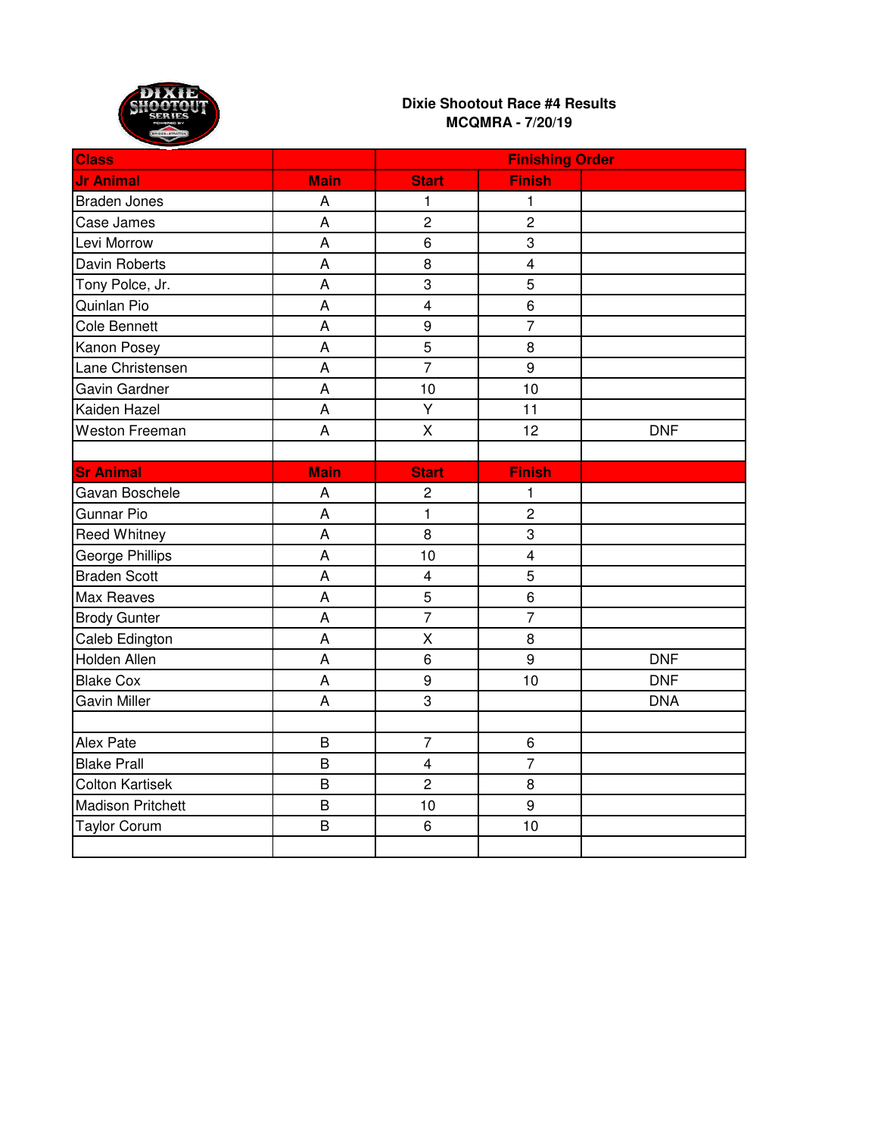

| <b>Class</b>             |                | <b>Finishing Order</b>  |                         |            |
|--------------------------|----------------|-------------------------|-------------------------|------------|
| <b>Jr Animal</b>         | <b>Main</b>    | <b>Start</b>            | <b>Finish</b>           |            |
| <b>Braden Jones</b>      | A              | 1                       | 1                       |            |
| Case James               | A              | $\overline{2}$          | $\overline{2}$          |            |
| Levi Morrow              | A              | $\,6$                   | 3                       |            |
| Davin Roberts            | A              | 8                       | $\overline{\mathbf{4}}$ |            |
| Tony Polce, Jr.          | A              | 3                       | 5                       |            |
| Quinlan Pio              | A              | $\overline{4}$          | 6                       |            |
| <b>Cole Bennett</b>      | A              | 9                       | $\overline{7}$          |            |
| Kanon Posey              | A              | $\overline{5}$          | 8                       |            |
| Lane Christensen         | A              | $\overline{7}$          | 9                       |            |
| Gavin Gardner            | A              | 10                      | 10                      |            |
| Kaiden Hazel             | A              | Y                       | 11                      |            |
| Weston Freeman           | A              | X                       | 12                      | <b>DNF</b> |
|                          |                |                         |                         |            |
| <b>Sr Animal</b>         | <b>Main</b>    | <b>Start</b>            | <b>Finish</b>           |            |
| Gavan Boschele           | A              | $\overline{c}$          | 1                       |            |
| <b>Gunnar Pio</b>        | A              | $\mathbf{1}$            | $\overline{c}$          |            |
| <b>Reed Whitney</b>      | A              | 8                       | $\overline{3}$          |            |
| George Phillips          | A              | 10                      | $\overline{\mathbf{4}}$ |            |
| <b>Braden Scott</b>      | A              | $\overline{4}$          | 5                       |            |
| Max Reaves               | A              | 5                       | 6                       |            |
| <b>Brody Gunter</b>      | A              | $\overline{7}$          | $\overline{7}$          |            |
| Caleb Edington           | A              | $\sf X$                 | 8                       |            |
| Holden Allen             | A              | 6                       | 9                       | <b>DNF</b> |
| <b>Blake Cox</b>         | A              | 9                       | 10                      | <b>DNF</b> |
| Gavin Miller             | A              | 3                       |                         | <b>DNA</b> |
|                          |                |                         |                         |            |
| Alex Pate                | B              | $\overline{7}$          | 6                       |            |
| <b>Blake Prall</b>       | B              | $\overline{\mathbf{4}}$ | $\overline{7}$          |            |
| <b>Colton Kartisek</b>   | $\overline{B}$ | $\overline{c}$          | 8                       |            |
| <b>Madison Pritchett</b> | $\sf B$        | 10                      | 9                       |            |
| <b>Taylor Corum</b>      | B              | 6                       | 10                      |            |
|                          |                |                         |                         |            |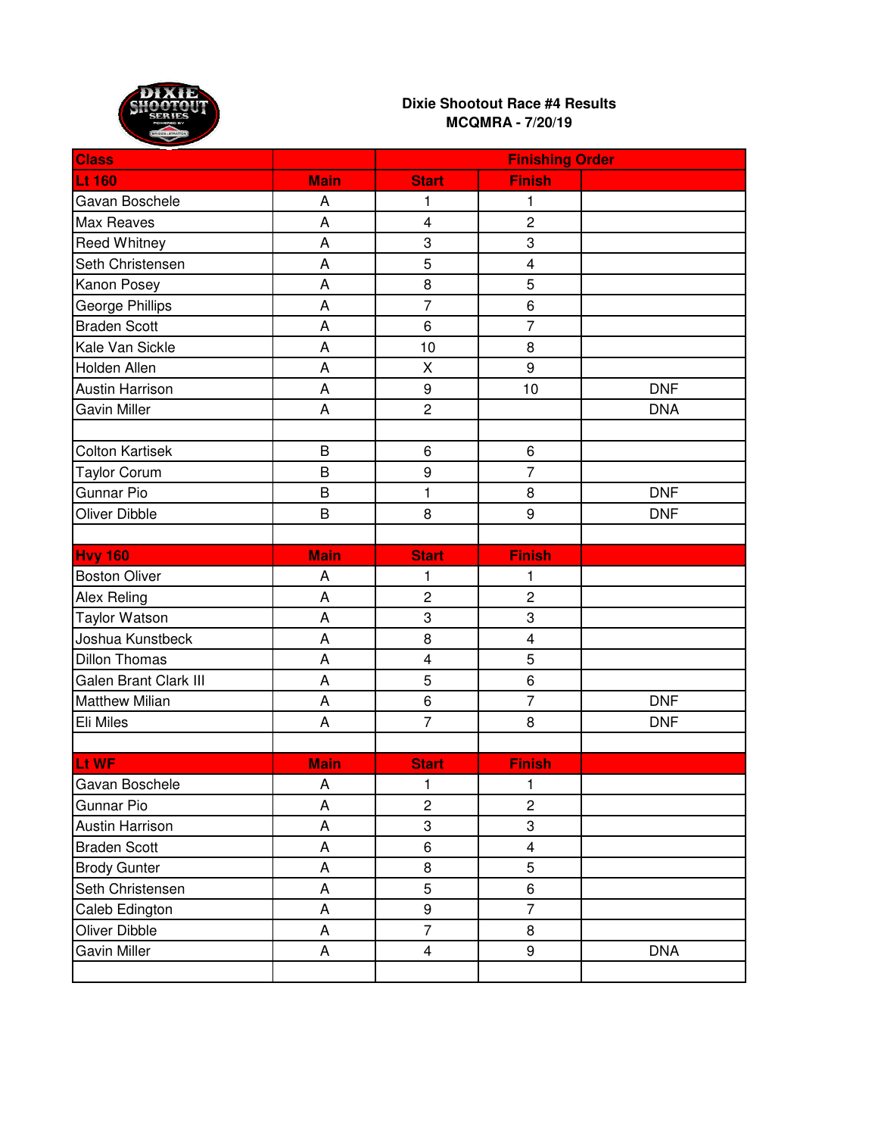

| <b>Class</b>                 |                           | <b>Finishing Order</b>  |                         |            |
|------------------------------|---------------------------|-------------------------|-------------------------|------------|
| <b>Lt 160</b>                | <b>Main</b>               | <b>Start</b>            | <b>Finish</b>           |            |
| Gavan Boschele               | A                         | 1                       | 1                       |            |
| Max Reaves                   | $\overline{A}$            | $\overline{4}$          | $\overline{c}$          |            |
| Reed Whitney                 | A                         | 3                       | 3                       |            |
| Seth Christensen             | A                         | 5                       | $\overline{\mathbf{4}}$ |            |
| Kanon Posey                  | A                         | 8                       | 5                       |            |
| George Phillips              | A                         | $\overline{7}$          | 6                       |            |
| <b>Braden Scott</b>          | A                         | 6                       | $\overline{7}$          |            |
| Kale Van Sickle              | A                         | 10                      | 8                       |            |
| Holden Allen                 | A                         | X                       | 9                       |            |
| <b>Austin Harrison</b>       | A                         | $\boldsymbol{9}$        | 10                      | <b>DNF</b> |
| Gavin Miller                 | A                         | $\overline{c}$          |                         | <b>DNA</b> |
|                              |                           |                         |                         |            |
| <b>Colton Kartisek</b>       | B                         | 6                       | 6                       |            |
| <b>Taylor Corum</b>          | B                         | 9                       | $\overline{7}$          |            |
| Gunnar Pio                   | B                         | $\mathbf{1}$            | 8                       | <b>DNF</b> |
| Oliver Dibble                | B                         | 8                       | 9                       | <b>DNF</b> |
|                              |                           |                         |                         |            |
| <b>Hvy 160</b>               | <b>Main</b>               | <b>Start</b>            | <b>Finish</b>           |            |
| <b>Boston Oliver</b>         | A                         | 1                       | 1                       |            |
| <b>Alex Reling</b>           | A                         | $\overline{2}$          | $\overline{c}$          |            |
| <b>Taylor Watson</b>         | A                         | 3                       | 3                       |            |
| Joshua Kunstbeck             | A                         | 8                       | $\overline{\mathbf{4}}$ |            |
| <b>Dillon Thomas</b>         | A                         | $\overline{4}$          | 5                       |            |
| <b>Galen Brant Clark III</b> | A                         | 5                       | 6                       |            |
| <b>Matthew Milian</b>        | A                         | $\,6$                   | $\overline{7}$          | <b>DNF</b> |
| Eli Miles                    | A                         | $\overline{7}$          | 8                       | <b>DNF</b> |
|                              |                           |                         |                         |            |
| Lt WF                        | <b>Main</b>               | <b>Start</b>            | <b>Finish</b>           |            |
| Gavan Boschele               | A                         | 1                       | 1                       |            |
| Gunnar Pio                   | A                         | $\overline{c}$          | $\overline{c}$          |            |
| Austin Harrison              | A                         | 3                       | 3                       |            |
| <b>Braden Scott</b>          | A                         | 6                       | $\overline{\mathbf{4}}$ |            |
| <b>Brody Gunter</b>          | $\boldsymbol{\mathsf{A}}$ | 8                       | 5                       |            |
| Seth Christensen             | $\mathsf A$               | 5                       | 6                       |            |
| Caleb Edington               | A                         | 9                       | $\overline{7}$          |            |
| Oliver Dibble                | A                         | $\overline{7}$          | 8                       |            |
| Gavin Miller                 | A                         | $\overline{\mathbf{4}}$ | 9                       | <b>DNA</b> |
|                              |                           |                         |                         |            |